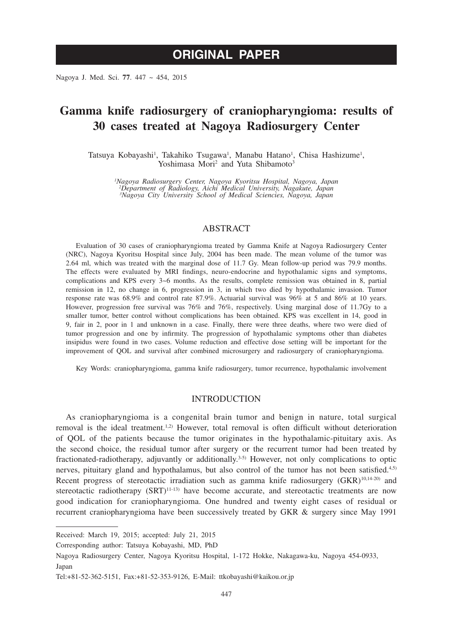# **ORIGINAL PAPER**

Nagoya J. Med. Sci. **77**. 447 ~ 454, 2015

## **Gamma knife radiosurgery of craniopharyngioma: results of 30 cases treated at Nagoya Radiosurgery Center**

Tatsuya Kobayashi<sup>1</sup>, Takahiko Tsugawa<sup>1</sup>, Manabu Hatano<sup>1</sup>, Chisa Hashizume<sup>1</sup>, Yoshimasa Mori<sup>2</sup> and Yuta Shibamoto<sup>3</sup>

*1 Nagoya Radiosurgery Center, Nagoya Kyoritsu Hospital, Nagoya, Japan 2 Department of Radiology, Aichi Medical University, Nagakute, Japan 3 Nagoya City University School of Medical Sciencies, Nagoya, Japan*

## ABSTRACT

Evaluation of 30 cases of craniopharyngioma treated by Gamma Knife at Nagoya Radiosurgery Center (NRC), Nagoya Kyoritsu Hospital since July, 2004 has been made. The mean volume of the tumor was 2.64 ml, which was treated with the marginal dose of 11.7 Gy. Mean follow-up period was 79.9 months. The effects were evaluated by MRI findings, neuro-endocrine and hypothalamic signs and symptoms, complications and KPS every 3~6 months. As the results, complete remission was obtained in 8, partial remission in 12, no change in 6, progression in 3, in which two died by hypothalamic invasion. Tumor response rate was 68.9% and control rate 87.9%. Actuarial survival was 96% at 5 and 86% at 10 years. However, progression free survival was 76% and 76%, respectively. Using marginal dose of 11.7Gy to a smaller tumor, better control without complications has been obtained. KPS was excellent in 14, good in 9, fair in 2, poor in 1 and unknown in a case. Finally, there were three deaths, where two were died of tumor progression and one by infirmity. The progression of hypothalamic symptoms other than diabetes insipidus were found in two cases. Volume reduction and effective dose setting will be important for the improvement of QOL and survival after combined microsurgery and radiosurgery of craniopharyngioma.

Key Words: craniopharyngioma, gamma knife radiosurgery, tumor recurrence, hypothalamic involvement

#### INTRODUCTION

As craniopharyngioma is a congenital brain tumor and benign in nature, total surgical removal is the ideal treatment.<sup>1,2)</sup> However, total removal is often difficult without deterioration of QOL of the patients because the tumor originates in the hypothalamic-pituitary axis. As the second choice, the residual tumor after surgery or the recurrent tumor had been treated by fractionated-radiotherapy, adjuvantly or additionally.<sup>3-5)</sup> However, not only complications to optic nerves, pituitary gland and hypothalamus, but also control of the tumor has not been satisfied.<sup>4,5)</sup> Recent progress of stereotactic irradiation such as gamma knife radiosurgery (GKR)<sup>10,14-20)</sup> and stereotactic radiotherapy  $(SRT)^{11-13}$  have become accurate, and stereotactic treatments are now good indication for craniopharyngioma. One hundred and twenty eight cases of residual or recurrent craniopharyngioma have been successively treated by GKR & surgery since May 1991

Corresponding author: Tatsuya Kobayashi, MD, PhD

Received: March 19, 2015; accepted: July 21, 2015

Nagoya Radiosurgery Center, Nagoya Kyoritsu Hospital, 1-172 Hokke, Nakagawa-ku, Nagoya 454-0933, Japan

Tel:+81-52-362-5151, Fax:+81-52-353-9126, E-Mail: ttkobayashi@kaikou.or.jp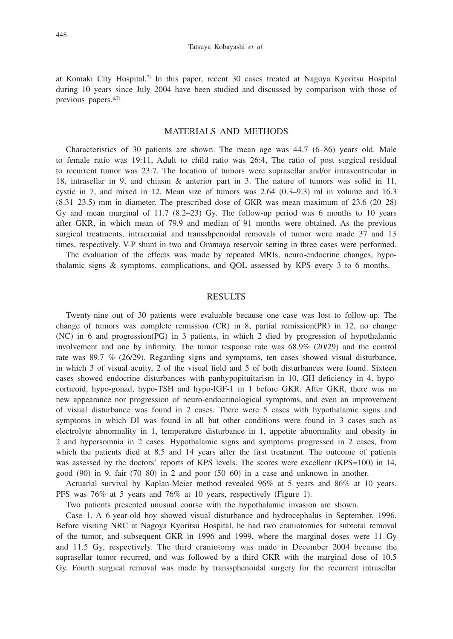at Komaki City Hospital.7) In this paper, recent 30 cases treated at Nagoya Kyoritsu Hospital during 10 years since July 2004 have been studied and discussed by comparison with those of previous papers.6,7)

## MATERIALS AND METHODS

Characteristics of 30 patients are shown. The mean age was 44.7 (6–86) years old. Male to female ratio was 19:11, Adult to child ratio was 26:4, The ratio of post surgical residual to recurrent tumor was 23:7. The location of tumors were suprasellar and/or intraventricular in 18, intrasellar in 9, and chiasm & anterior part in 3. The nature of tumors was solid in 11, cystic in 7, and mixed in 12. Mean size of tumors was 2.64 (0.3–9.3) ml in volume and 16.3 (8.31–23.5) mm in diameter. The prescribed dose of GKR was mean maximum of 23.6 (20–28) Gy and mean marginal of  $11.7$  (8.2–23) Gy. The follow-up period was 6 months to 10 years after GKR, in which mean of 79.9 and median of 91 months were obtained. As the previous surgical treatments, intracranial and transshpenoidal removals of tumor were made 37 and 13 times, respectively. V-P shunt in two and Ommaya reservoir setting in three cases were performed.

The evaluation of the effects was made by repeated MRIs, neuro-endocrine changes, hypothalamic signs & symptoms, complications, and QOL assessed by KPS every 3 to 6 months.

## **RESULTS**

Twenty-nine out of 30 patients were evaluable because one case was lost to follow-up. The change of tumors was complete remission (CR) in 8, partial remission(PR) in 12, no change (NC) in 6 and progression(PG) in 3 patients, in which 2 died by progression of hypothalamic involvement and one by infirmity. The tumor response rate was 68.9% (20/29) and the control rate was 89.7 % (26/29). Regarding signs and symptoms, ten cases showed visual disturbance, in which 3 of visual acuity, 2 of the visual field and 5 of both disturbances were found. Sixteen cases showed endocrine disturbances with panhypopituitarism in 10, GH deficiency in 4, hypocorticoid, hypo-gonad, hypo-TSH and hypo-IGF-1 in 1 before GKR. After GKR, there was no new appearance nor progression of neuro-endocrinological symptoms, and even an improvement of visual disturbance was found in 2 cases. There were 5 cases with hypothalamic signs and symptoms in which DI was found in all but other conditions were found in 3 cases such as electrolyte abnormality in 1, temperature disturbance in 1, appetite abnormality and obesity in 2 and hypersomnia in 2 cases. Hypothalamic signs and symptoms progressed in 2 cases, from which the patients died at 8.5 and 14 years after the first treatment. The outcome of patients was assessed by the doctors' reports of KPS levels. The scores were excellent (KPS=100) in 14, good (90) in 9, fair (70–80) in 2 and poor (50–60) in a case and unknown in another.

Actuarial survival by Kaplan-Meier method revealed 96% at 5 years and 86% at 10 years. PFS was 76% at 5 years and 76% at 10 years, respectively (Figure 1).

Two patients presented unusual course with the hypothalamic invasion are shown.

Case 1. A 6-year-old boy showed visual disturbance and hydrocephalus in September, 1996. Before visiting NRC at Nagoya Kyoritsu Hospital, he had two craniotomies for subtotal removal of the tumor, and subsequent GKR in 1996 and 1999, where the marginal doses were 11 Gy and 11.5 Gy, respectively. The third craniotomy was made in December 2004 because the suprasellar tumor recurred, and was followed by a third GKR with the marginal dose of 10.5 Gy. Fourth surgical removal was made by transsphenoidal surgery for the recurrent intrasellar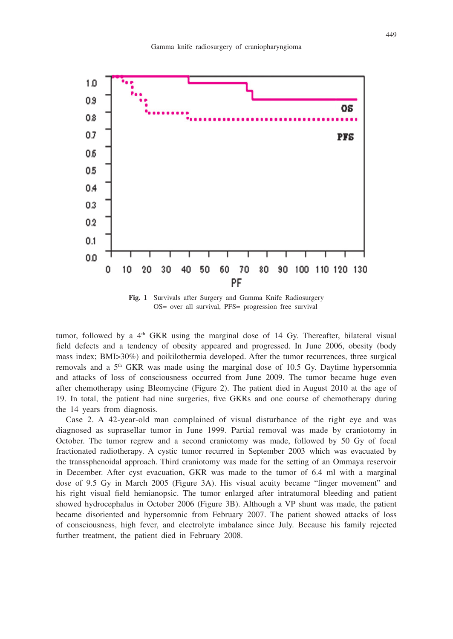

**Fig. 1** Survivals after Surgery and Gamma Knife Radiosurgery OS= over all survival, PFS= progression free survival

tumor, followed by a  $4<sup>th</sup>$  GKR using the marginal dose of 14 Gy. Thereafter, bilateral visual field defects and a tendency of obesity appeared and progressed. In June 2006, obesity (body mass index; BMI>30%) and poikilothermia developed. After the tumor recurrences, three surgical removals and a  $5<sup>th</sup>$  GKR was made using the marginal dose of 10.5 Gy. Daytime hypersomnia and attacks of loss of consciousness occurred from June 2009. The tumor became huge even after chemotherapy using Bleomycine (Figure 2). The patient died in August 2010 at the age of 19. In total, the patient had nine surgeries, five GKRs and one course of chemotherapy during the 14 years from diagnosis.

Case 2. A 42-year-old man complained of visual disturbance of the right eye and was diagnosed as suprasellar tumor in June 1999. Partial removal was made by craniotomy in October. The tumor regrew and a second craniotomy was made, followed by 50 Gy of focal fractionated radiotherapy. A cystic tumor recurred in September 2003 which was evacuated by the transsphenoidal approach. Third craniotomy was made for the setting of an Ommaya reservoir in December. After cyst evacuation, GKR was made to the tumor of 6.4 ml with a marginal dose of 9.5 Gy in March 2005 (Figure 3A). His visual acuity became "finger movement" and his right visual field hemianopsic. The tumor enlarged after intratumoral bleeding and patient showed hydrocephalus in October 2006 (Figure 3B). Although a VP shunt was made, the patient became disoriented and hypersomnic from February 2007. The patient showed attacks of loss of consciousness, high fever, and electrolyte imbalance since July. Because his family rejected further treatment, the patient died in February 2008.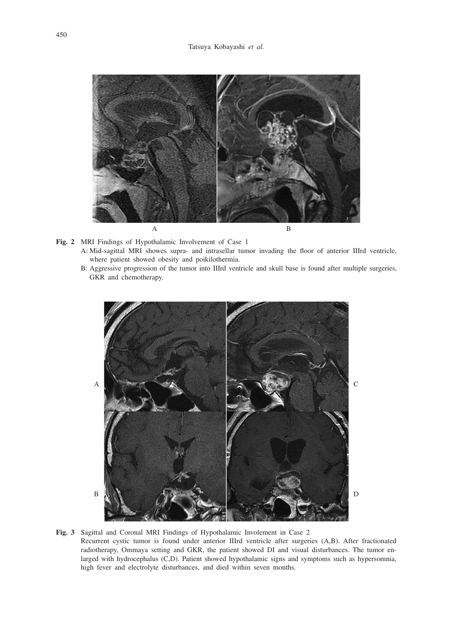

- **Fig. 2** MRI Findings of Hypothalamic Involvement of Case 1 A: Mid-sagittal MRI showes supra- and intrasellar tumor invading the floor of anterior IIIrd ventricle, where patient showed obesity and poikilothermia.
	- B: Aggressive progression of the tumor into IIIrd ventricle and skull base is found after multiple surgeries, GKR and chemotherapy.



**Fig. 3** Sagittal and Coronal MRI Findings of Hypothalamic Involement in Case 2 Recurrent cystic tumor is found under anterior IIIrd ventricle after surgeries (A,B). After fractionated radiotherapy, Ommaya setting and GKR, the patient showed DI and visual disturbances. The tumor enlarged with hydrocephalus (C,D). Patient showed hypothalamic signs and symptoms such as hypersomnia, high fever and electrolyte disturbances, and died within seven months.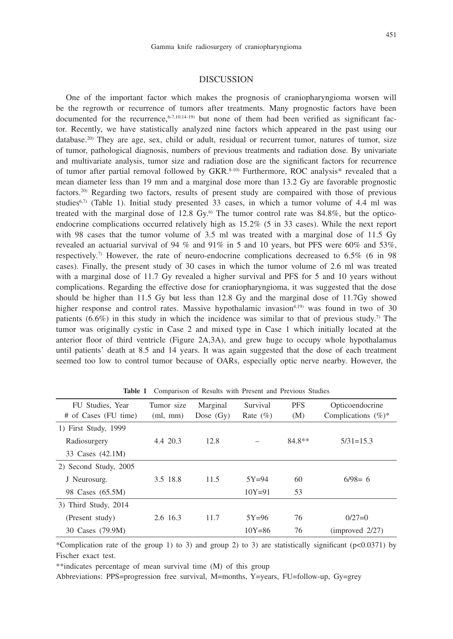#### DISCUSSION

One of the important factor which makes the prognosis of craniopharyngioma worsen will be the regrowth or recurrence of tumors after treatments. Many prognostic factors have been documented for the recurrence,  $6-7,10,14-19$  but none of them had been verified as significant factor. Recently, we have statistically analyzed nine factors which appeared in the past using our  $database<sup>20</sup>$  They are age, sex, child or adult, residual or recurrent tumor, natures of tumor, size of tumor, pathological diagnosis, numbers of previous treatments and radiation dose. By univariate and multivariate analysis, tumor size and radiation dose are the significant factors for recurrence of tumor after partial removal followed by GKR.<sup>8-10)</sup> Furthermore, ROC analysis\* revealed that a mean diameter less than 19 mm and a marginal dose more than 13.2 Gy are favorable prognostic factors.20) Regarding two factors, results of present study are compaired with those of previous studies<sup>6,7)</sup> (Table 1). Initial study presented 33 cases, in which a tumor volume of 4.4 ml was treated with the marginal dose of 12.8 Gy.<sup>6)</sup> The tumor control rate was  $84.8\%$ , but the opticoendocrine complications occurred relatively high as 15.2% (5 in 33 cases). While the next report with 98 cases that the tumor volume of 3.5 ml was treated with a marginal dose of 11.5 Gy revealed an actuarial survival of 94 % and 91% in 5 and 10 years, but PFS were 60% and 53%, respectively.<sup>7)</sup> However, the rate of neuro-endocrine complications decreased to  $6.5\%$  (6 in 98) cases). Finally, the present study of 30 cases in which the tumor volume of 2.6 ml was treated with a marginal dose of 11.7 Gy revealed a higher survival and PFS for 5 and 10 years without complications. Regarding the effective dose for craniopharyngioma, it was suggested that the dose should be higher than 11.5 Gy but less than 12.8 Gy and the marginal dose of 11.7Gy showed higher response and control rates. Massive hypothalamic invasion<sup>4,19)</sup> was found in two of 30 patients (6.6%) in this study in which the incidence was similar to that of previous study.<sup>7</sup> The tumor was originally cystic in Case 2 and mixed type in Case 1 which initially located at the anterior floor of third ventricle (Figure 2A,3A), and grew huge to occupy whole hypothalamus until patients' death at 8.5 and 14 years. It was again suggested that the dose of each treatment seemed too low to control tumor because of OARs, especially optic nerve nearby. However, the

| FU Studies, Year      | Tumor size | Marginal    | Survival     | <b>PFS</b> | Opticoendocrine        |
|-----------------------|------------|-------------|--------------|------------|------------------------|
| # of Cases (FU time)  | (ml, mm)   | Dose $(Gv)$ | Rate $(\% )$ | (M)        | Complications $(\%)^*$ |
| 1) First Study, 1999  |            |             |              |            |                        |
| Radiosurgery          | 4.4 20.3   | 12.8        |              | $84.8**$   | $5/31 = 15.3$          |
| 33 Cases (42.1M)      |            |             |              |            |                        |
| 2) Second Study, 2005 |            |             |              |            |                        |
| J Neurosurg.          | 3.5 18.8   | 11.5        | $5Y=94$      | 60         | $6/98=6$               |
| 98 Cases (65.5M)      |            |             | $10Y = 91$   | 53         |                        |
| 3) Third Study, 2014  |            |             |              |            |                        |
| (Present study)       | 2.6 16.3   | 11.7        | $5Y=96$      | 76         | $0/27=0$               |
| 30 Cases (79.9M)      |            |             | $10Y = 86$   | 76         | (improved 2/27)        |

**Table 1** Comparison of Results with Present and Previous Studies

\*Complication rate of the group 1) to 3) and group 2) to 3) are statistically significant ( $p$ <0.0371) by Fischer exact test.

\*\*indicates percentage of mean survival time (M) of this group

Abbreviations: PPS=progression free survival, M=months, Y=years, FU=follow-up, Gy=grey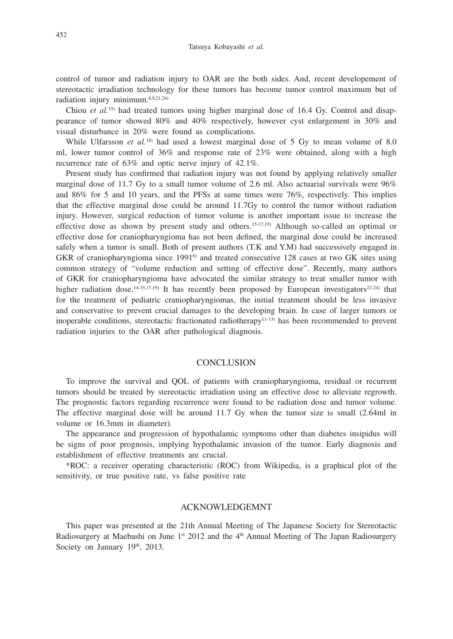control of tumor and radiation injury to OAR are the both sides. And, recent developement of stereotactic irradiation technology for these tumors has become tumor control maximum but of radiation injury minimum.8,9,21,24)

Chiou et al.<sup>15)</sup> had treated tumors using higher marginal dose of 16.4 Gy. Control and disappearance of tumor showed 80% and 40% respectively, however cyst enlargement in 30% and visual disturbance in 20% were found as complications.

While Ulfarsson *et al.*<sup>18)</sup> had used a lowest marginal dose of 5 Gy to mean volume of 8.0 ml, lower tumor control of 36% and response rate of 23% were obtained, along with a high recurrence rate of 63% and optic nerve injury of 42.1%.

Present study has confirmed that radiation injury was not found by applying relatively smaller marginal dose of 11.7 Gy to a small tumor volume of 2.6 ml. Also actuarial survivals were 96% and  $86\%$  for 5 and 10 years, and the PFSs at same times were  $76\%$ , respectively. This implies that the effective marginal dose could be around 11.7Gy to control the tumor without radiation injury. However, surgical reduction of tumor volume is another important issue to increase the effective dose as shown by present study and others.<sup>15-17,19)</sup> Although so-called an optimal or effective dose for craniopharyngioma has not been defined, the marginal dose could be increased safely when a tumor is small. Both of present authors (T.K and Y.M) had successively engaged in GKR of craniopharyngioma since  $1991^6$  and treated consecutive 128 cases at two GK sites using common strategy of "volume reduction and setting of effective dose". Recently, many authors of GKR for craniopharyngioma have advocated the similar strategy to treat smaller tumor with higher radiation dose.<sup>14-15,17,19)</sup> It has recently been proposed by European investigators<sup>22-24)</sup> that for the treatment of pediatric craniopharyngiomas, the initial treatment should be less invasive and conservative to prevent crucial damages to the developing brain. In case of larger tumors or inoperable conditions, stereotactic fractionated radiotherapy11-13) has been recommended to prevent radiation injuries to the OAR after pathological diagnosis.

## **CONCLUSION**

To improve the survival and QOL of patients with craniopharyngioma, residual or recurrent tumors should be treated by stereotactic irradiation using an effective dose to alleviate regrowth. The prognostic factors regarding recurrence were found to be radiation dose and tumor volume. The effective marginal dose will be around 11.7 Gy when the tumor size is small (2.64ml in volume or 16.3mm in diameter).

The appearance and progression of hypothalamic symptoms other than diabetes insipidus will be signs of poor prognosis, implying hypothalamic invasion of the tumor. Early diagnosis and establishment of effective treatments are crucial.

\*ROC: a receiver operating characteristic (ROC) from Wikipedia, is a graphical plot of the sensitivity, or true positive rate, vs false positive rate

#### ACKNOWLEDGEMNT

This paper was presented at the 21th Annual Meeting of The Japanese Society for Stereotactic Radiosurgery at Maebashi on June  $1<sup>st</sup> 2012$  and the  $4<sup>th</sup>$  Annual Meeting of The Japan Radiosurgery Society on January 19<sup>th</sup>, 2013.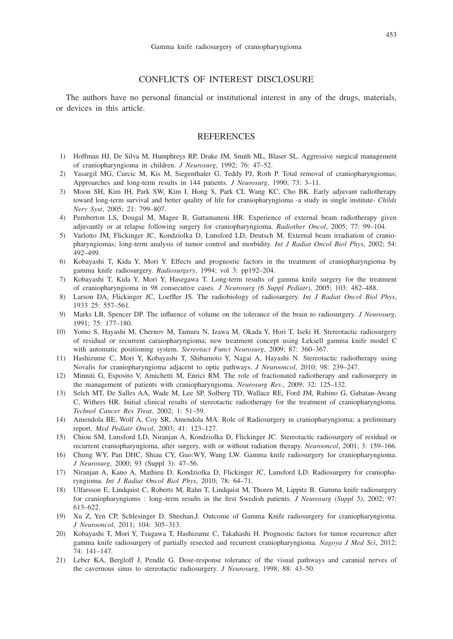## CONFLICTS OF INTEREST DISCLOSURE

The authors have no personal financial or institutional interest in any of the drugs, materials, or devices in this article.

#### **REFERENCES**

- 1) Hoffman HJ, De Silva M, Humphreys RP, Drake JM, Smith ML, Blaser SL. Aggressive surgical management of craniopharyngioma in children. *J Neurosurg*, 1992; 76: 47–52.
- 2) Yasargil MG, Curcic M, Kis M, Siegenthaler G, Teddy PJ, Roth P. Total removal of craniopharyngiomas; Approarches and long-term results in 144 patients. *J Neurosurg*, 1990; 73: 3–11.
- 3) Moon SH, Kim IH, Park SW, Kim I, Hong S, Park CL Wang KC, Cho BK. Early adjuvant radiotherapy toward long-term survival and better quality of life for craniopharyngioma -a study in single institute- *Childs Nerv Syst*, 2005; 21: 799–807.
- 4) Pemberton LS, Dougal M, Magee B, Gattamaneni HR. Experience of external beam radiotherapy given adjuvantly or at relapse following surgery for craniopharyngioma. *Radiother Oncol*, 2005; 77: 99–104.
- 5) Varlotto JM, Flickinger JC, Kondziolka D, Lunsford LD, Deutsch M. External beam irradiation of craniopharyngiomas; long-term analysis of tumor control and morbidity. *Int J Radiat Oncol Biol Phys*, 2002; 54: 492–499.
- 6) Kobayashi T, Kida Y, Mori Y. Effects and prognostic factors in the treatment of craniopharyngioma by gamma knife radiosurgery. *Radiosurgery*, 1994; vol 3: pp192–204.
- 7) Kobayashi T, Kida Y, Mori Y, Hasegawa T. Long-term results of gamma knife surgery for the treatment of craniopharyngioma in 98 consecutive cases. *J Neurosurg (6 Suppl Pediatr)*, 2005; 103: 482–488.
- 8) Larson DA, Flickinger JC, Loeffler JS. The radiobiology of radiosurgery. *Int J Radiat Oncol Biol Phys*, 1933 25: 557–561.
- 9) Marks LB, Spencer DP. The influence of volume on the tolerance of the brain to radiosurgery. *J Neurosurg*, 1991; 75: 177–180.
- 10) Yomo S, Hayashi M, Chernov M, Tamura N, Izawa M, Okada Y, Hori T, Iseki H. Stereotactic radiosurgery of residual or recurrent caraiopharyngioma; new treatment concept using Leksell gamma knife model C with automatic positioning system. *Stereotact Funct Neurosurg*, 2009; 87: 360–367.
- 11) Hashizume C, Mori Y, Kobayashi T, Shibamoto Y, Nagai A, Hayashi N. Stereotactic radiotherapy using Novalis for craniopharyngioma adjacent to optic pathways. *J Neurooncol*, 2010; 98: 239–247.
- 12) Minniti G, Esposito V, Amichetti M, Enrici RM. The role of fractionated radiotherapy and radiosurgery in the management of patients with craniopharyngioma. *Neurosurg Rev.*, 2009; 32: 125–132.
- 13) Selch MT, De Salles AA, Wade M, Lee SP, Solberg TD, Wallace RE, Ford JM, Rubino G, Gabatan-Awang C, Withers HR. Initial clinical results of stereotactic radiotherapy for the treatment of craniopharyngioma. *Technol Cancer Res Treat*, 2002; 1: 51–59.
- 14) Amendola BE, Wolf A, Coy SR, Amendola MA. Role of Radiosurgery in craniopharyngioma; a preliminary report. *Med Pediatr Oncol*, 2003; 41: 123–127.
- 15) Chiou SM, Lunsford LD, Niranjan A, Kondziolka D, Flickinger JC. Stereotactic radiosurgery of residual or recurrent craniopharyngioma, after surgery, with or without radiation therapy. *Neurooncol*, 2001; 3: 159–166.
- 16) Chung WY, Pan DHC, Shiau CY, Guo:WY, Wang LW. Gamma knife radiosurgery for craniopharyngioma. *J Neurosurg*, 2000; 93 (Suppl 3): 47–56.
- 17) Niranjan A, Kano A, Mathieu D, Kondziolka D, Flickinger JC, Lunsford LD. Radiosurgery for craniopharyngioma. *Int J Radiat Oncol Biol Phys*, 2010; 78: 64–71.
- 18) Ulfarsson E, Lindquist C, Roberts M, Rahn T, Lindquist M, Thoren M, Lippitz B. Gamma knife radiosurgery for craniopharyngioms : long–term results in the first Swedish patients. *J Neurosurg (Suppl 5)*, 2002; 97: 613–622.
- 19) Xu Z, Yen CP, Schlesinger D, Sheehan,J. Outcome of Gamma Knife radiosurgery for craniopharyngioma. *J Neurooncol*, 2011; 104: 305–313.
- 20) Kobayashi T, Mori Y, Tsugawa T, Hashizume C, Takahashi H. Prognostic factors for tumor recurrence after gamma knife radiosurgery of partially resected and recurrent craniopharyngioma. *Nagoya J Med Sci*, 2012; 74: 141–147.
- 21) Leber KA, Bergloff J, Pendle G. Dose-response tolerance of the visual pathways and caranial nerves of the cavernous sinus to stereotactic radiosurgery. *J Neurosurg*, 1998; 88: 43–50.